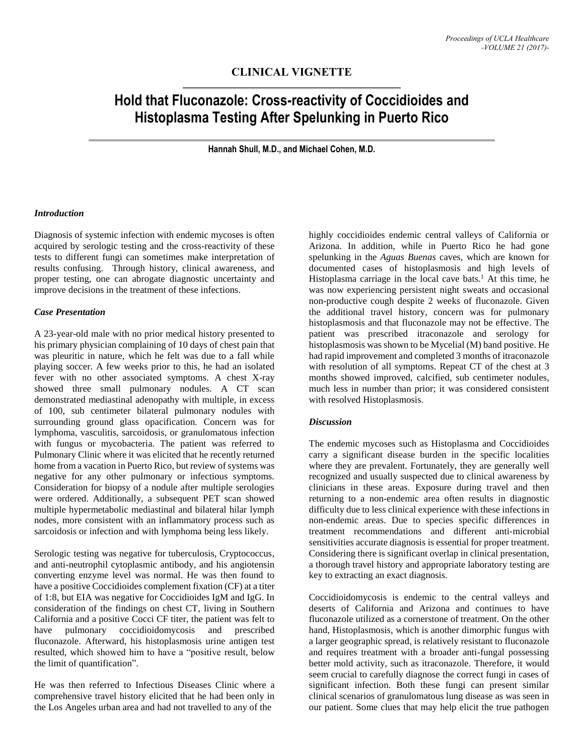# **CLINICAL VIGNETTE**

# **Hold that Fluconazole: Cross-reactivity of Coccidioides and Histoplasma Testing After Spelunking in Puerto Rico**

**Hannah Shull, M.D., and Michael Cohen, M.D.**

#### *Introduction*

Diagnosis of systemic infection with endemic mycoses is often acquired by serologic testing and the cross-reactivity of these tests to different fungi can sometimes make interpretation of results confusing. Through history, clinical awareness, and proper testing, one can abrogate diagnostic uncertainty and improve decisions in the treatment of these infections.

#### *Case Presentation*

A 23-year-old male with no prior medical history presented to his primary physician complaining of 10 days of chest pain that was pleuritic in nature, which he felt was due to a fall while playing soccer. A few weeks prior to this, he had an isolated fever with no other associated symptoms. A chest X-ray showed three small pulmonary nodules. A CT scan demonstrated mediastinal adenopathy with multiple, in excess of 100, sub centimeter bilateral pulmonary nodules with surrounding ground glass opacification. Concern was for lymphoma, vasculitis, sarcoidosis, or granulomatous infection with fungus or mycobacteria. The patient was referred to Pulmonary Clinic where it was elicited that he recently returned home from a vacation in Puerto Rico, but review of systems was negative for any other pulmonary or infectious symptoms. Consideration for biopsy of a nodule after multiple serologies were ordered. Additionally, a subsequent PET scan showed multiple hypermetabolic mediastinal and bilateral hilar lymph nodes, more consistent with an inflammatory process such as sarcoidosis or infection and with lymphoma being less likely.

Serologic testing was negative for tuberculosis, Cryptococcus, and anti-neutrophil cytoplasmic antibody, and his angiotensin converting enzyme level was normal. He was then found to have a positive Coccidioides complement fixation (CF) at a titer of 1:8, but EIA was negative for Coccidioides IgM and IgG. In consideration of the findings on chest CT, living in Southern California and a positive Cocci CF titer, the patient was felt to have pulmonary coccidioidomycosis and prescribed fluconazole. Afterward, his histoplasmosis urine antigen test resulted, which showed him to have a "positive result, below the limit of quantification".

He was then referred to Infectious Diseases Clinic where a comprehensive travel history elicited that he had been only in the Los Angeles urban area and had not travelled to any of the

highly coccidioides endemic central valleys of California or Arizona. In addition, while in Puerto Rico he had gone spelunking in the *Aguas Buenas* caves, which are known for documented cases of histoplasmosis and high levels of Histoplasma carriage in the local cave bats. <sup>1</sup> At this time, he was now experiencing persistent night sweats and occasional non-productive cough despite 2 weeks of fluconazole. Given the additional travel history, concern was for pulmonary histoplasmosis and that fluconazole may not be effective. The patient was prescribed itraconazole and serology for histoplasmosis was shown to be Mycelial (M) band positive. He had rapid improvement and completed 3 months of itraconazole with resolution of all symptoms. Repeat CT of the chest at 3 months showed improved, calcified, sub centimeter nodules, much less in number than prior; it was considered consistent with resolved Histoplasmosis.

## *Discussion*

The endemic mycoses such as Histoplasma and Coccidioides carry a significant disease burden in the specific localities where they are prevalent. Fortunately, they are generally well recognized and usually suspected due to clinical awareness by clinicians in these areas. Exposure during travel and then returning to a non-endemic area often results in diagnostic difficulty due to less clinical experience with these infections in non-endemic areas. Due to species specific differences in treatment recommendations and different anti-microbial sensitivities accurate diagnosis is essential for proper treatment. Considering there is significant overlap in clinical presentation, a thorough travel history and appropriate laboratory testing are key to extracting an exact diagnosis.

Coccidioidomycosis is endemic to the central valleys and deserts of California and Arizona and continues to have fluconazole utilized as a cornerstone of treatment. On the other hand, Histoplasmosis, which is another dimorphic fungus with a larger geographic spread, is relatively resistant to fluconazole and requires treatment with a broader anti-fungal possessing better mold activity, such as itraconazole. Therefore, it would seem crucial to carefully diagnose the correct fungi in cases of significant infection. Both these fungi can present similar clinical scenarios of granulomatous lung disease as was seen in our patient. Some clues that may help elicit the true pathogen